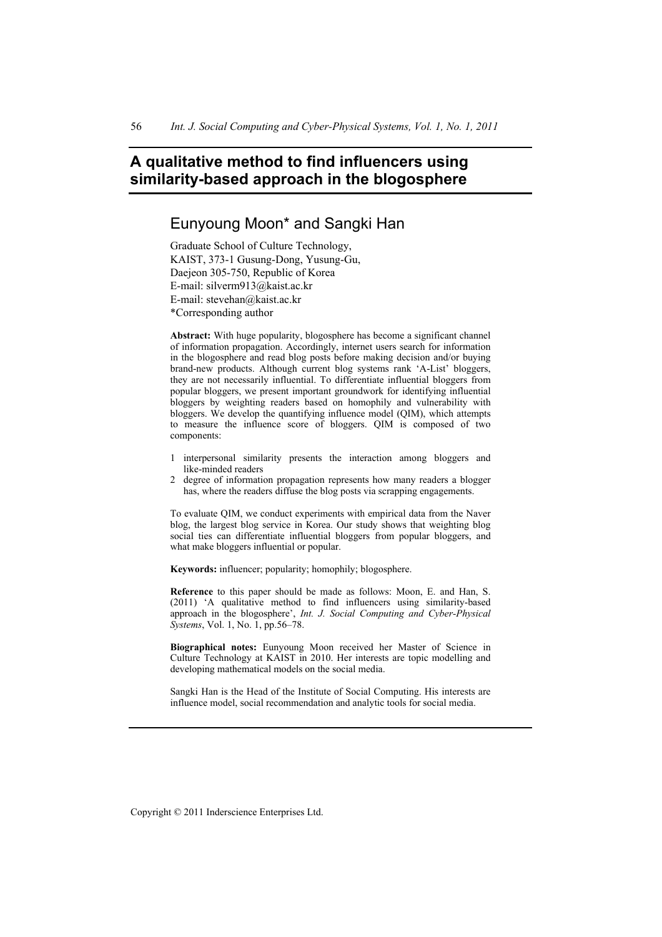# **A qualitative method to find influencers using similarity-based approach in the blogosphere**

# Eunyoung Moon\* and Sangki Han

Graduate School of Culture Technology, KAIST, 373-1 Gusung-Dong, Yusung-Gu, Daejeon 305-750, Republic of Korea E-mail: silverm913@kaist.ac.kr E-mail: stevehan@kaist.ac.kr \*Corresponding author

**Abstract:** With huge popularity, blogosphere has become a significant channel of information propagation. Accordingly, internet users search for information in the blogosphere and read blog posts before making decision and/or buying brand-new products. Although current blog systems rank 'A-List' bloggers, they are not necessarily influential. To differentiate influential bloggers from popular bloggers, we present important groundwork for identifying influential bloggers by weighting readers based on homophily and vulnerability with bloggers. We develop the quantifying influence model (QIM), which attempts to measure the influence score of bloggers. QIM is composed of two components:

- 1 interpersonal similarity presents the interaction among bloggers and like-minded readers
- 2 degree of information propagation represents how many readers a blogger has, where the readers diffuse the blog posts via scrapping engagements.

To evaluate QIM, we conduct experiments with empirical data from the Naver blog, the largest blog service in Korea. Our study shows that weighting blog social ties can differentiate influential bloggers from popular bloggers, and what make bloggers influential or popular.

**Keywords:** influencer; popularity; homophily; blogosphere.

**Reference** to this paper should be made as follows: Moon, E. and Han, S. (2011) 'A qualitative method to find influencers using similarity-based approach in the blogosphere', *Int. J. Social Computing and Cyber-Physical Systems*, Vol. 1, No. 1, pp.56–78.

**Biographical notes:** Eunyoung Moon received her Master of Science in Culture Technology at KAIST in 2010. Her interests are topic modelling and developing mathematical models on the social media.

Sangki Han is the Head of the Institute of Social Computing. His interests are influence model, social recommendation and analytic tools for social media.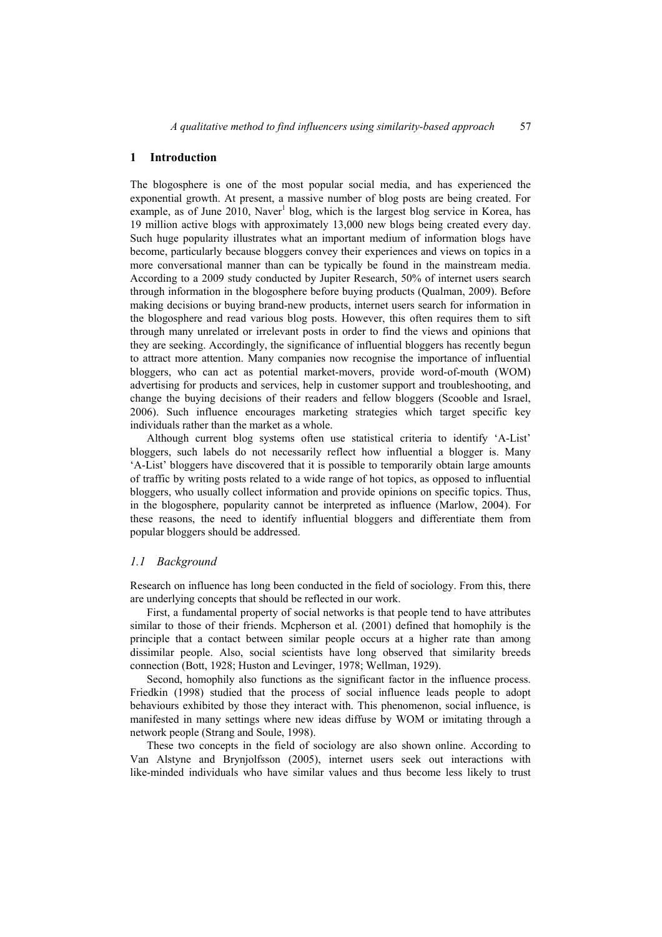# **1 Introduction**

The blogosphere is one of the most popular social media, and has experienced the exponential growth. At present, a massive number of blog posts are being created. For example, as of June 2010, Naver<sup>1</sup> blog, which is the largest blog service in Korea, has 19 million active blogs with approximately 13,000 new blogs being created every day. Such huge popularity illustrates what an important medium of information blogs have become, particularly because bloggers convey their experiences and views on topics in a more conversational manner than can be typically be found in the mainstream media. According to a 2009 study conducted by Jupiter Research, 50% of internet users search through information in the blogosphere before buying products (Qualman, 2009). Before making decisions or buying brand-new products, internet users search for information in the blogosphere and read various blog posts. However, this often requires them to sift through many unrelated or irrelevant posts in order to find the views and opinions that they are seeking. Accordingly, the significance of influential bloggers has recently begun to attract more attention. Many companies now recognise the importance of influential bloggers, who can act as potential market-movers, provide word-of-mouth (WOM) advertising for products and services, help in customer support and troubleshooting, and change the buying decisions of their readers and fellow bloggers (Scooble and Israel, 2006). Such influence encourages marketing strategies which target specific key individuals rather than the market as a whole.

Although current blog systems often use statistical criteria to identify 'A-List' bloggers, such labels do not necessarily reflect how influential a blogger is. Many 'A-List' bloggers have discovered that it is possible to temporarily obtain large amounts of traffic by writing posts related to a wide range of hot topics, as opposed to influential bloggers, who usually collect information and provide opinions on specific topics. Thus, in the blogosphere, popularity cannot be interpreted as influence (Marlow, 2004). For these reasons, the need to identify influential bloggers and differentiate them from popular bloggers should be addressed.

#### *1.1 Background*

Research on influence has long been conducted in the field of sociology. From this, there are underlying concepts that should be reflected in our work.

First, a fundamental property of social networks is that people tend to have attributes similar to those of their friends. Mcpherson et al. (2001) defined that homophily is the principle that a contact between similar people occurs at a higher rate than among dissimilar people. Also, social scientists have long observed that similarity breeds connection (Bott, 1928; Huston and Levinger, 1978; Wellman, 1929).

Second, homophily also functions as the significant factor in the influence process. Friedkin (1998) studied that the process of social influence leads people to adopt behaviours exhibited by those they interact with. This phenomenon, social influence, is manifested in many settings where new ideas diffuse by WOM or imitating through a network people (Strang and Soule, 1998).

These two concepts in the field of sociology are also shown online. According to Van Alstyne and Brynjolfsson (2005), internet users seek out interactions with like-minded individuals who have similar values and thus become less likely to trust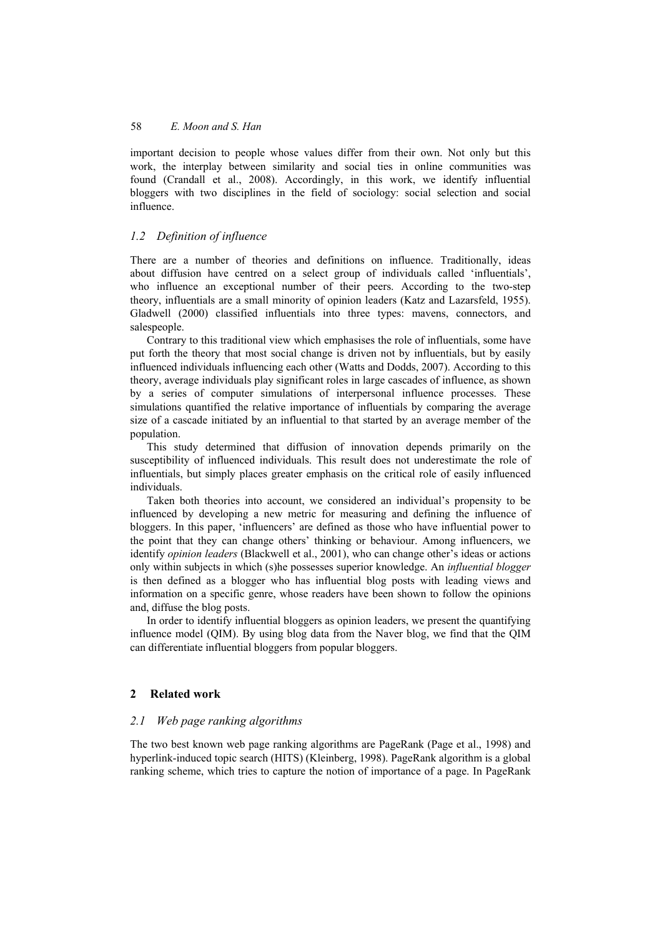important decision to people whose values differ from their own. Not only but this work, the interplay between similarity and social ties in online communities was found (Crandall et al., 2008). Accordingly, in this work, we identify influential bloggers with two disciplines in the field of sociology: social selection and social influence.

# *1.2 Definition of influence*

There are a number of theories and definitions on influence. Traditionally, ideas about diffusion have centred on a select group of individuals called 'influentials', who influence an exceptional number of their peers. According to the two-step theory, influentials are a small minority of opinion leaders (Katz and Lazarsfeld, 1955). Gladwell (2000) classified influentials into three types: mavens, connectors, and salespeople.

Contrary to this traditional view which emphasises the role of influentials, some have put forth the theory that most social change is driven not by influentials, but by easily influenced individuals influencing each other (Watts and Dodds, 2007). According to this theory, average individuals play significant roles in large cascades of influence, as shown by a series of computer simulations of interpersonal influence processes. These simulations quantified the relative importance of influentials by comparing the average size of a cascade initiated by an influential to that started by an average member of the population.

This study determined that diffusion of innovation depends primarily on the susceptibility of influenced individuals. This result does not underestimate the role of influentials, but simply places greater emphasis on the critical role of easily influenced individuals.

Taken both theories into account, we considered an individual's propensity to be influenced by developing a new metric for measuring and defining the influence of bloggers. In this paper, 'influencers' are defined as those who have influential power to the point that they can change others' thinking or behaviour. Among influencers, we identify *opinion leaders* (Blackwell et al., 2001), who can change other's ideas or actions only within subjects in which (s)he possesses superior knowledge. An *influential blogger* is then defined as a blogger who has influential blog posts with leading views and information on a specific genre, whose readers have been shown to follow the opinions and, diffuse the blog posts.

In order to identify influential bloggers as opinion leaders, we present the quantifying influence model (QIM). By using blog data from the Naver blog, we find that the QIM can differentiate influential bloggers from popular bloggers.

### **2 Related work**

#### *2.1 Web page ranking algorithms*

The two best known web page ranking algorithms are PageRank (Page et al., 1998) and hyperlink-induced topic search (HITS) (Kleinberg, 1998). PageRank algorithm is a global ranking scheme, which tries to capture the notion of importance of a page. In PageRank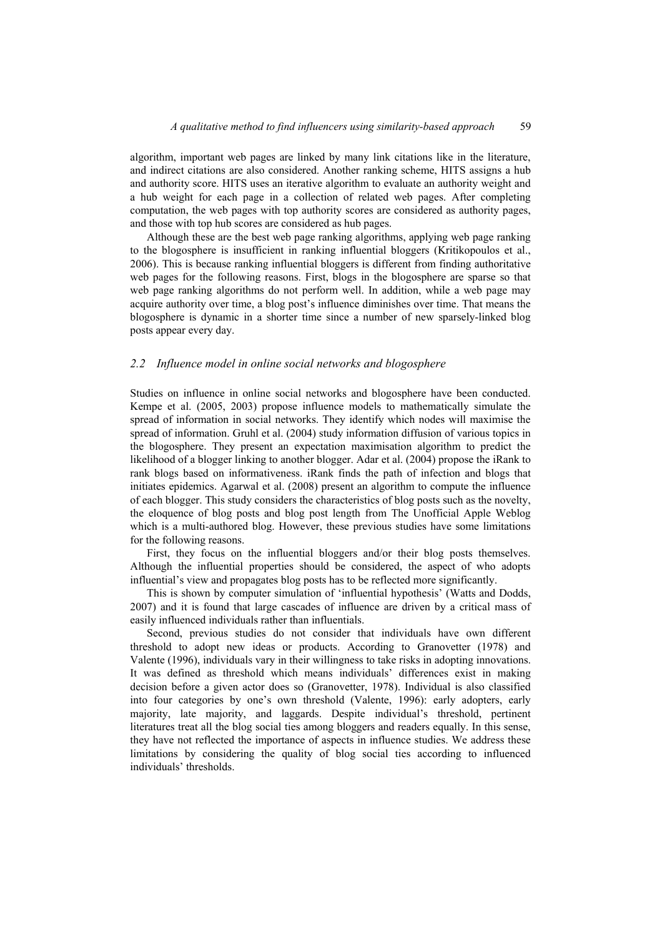algorithm, important web pages are linked by many link citations like in the literature, and indirect citations are also considered. Another ranking scheme, HITS assigns a hub and authority score. HITS uses an iterative algorithm to evaluate an authority weight and a hub weight for each page in a collection of related web pages. After completing computation, the web pages with top authority scores are considered as authority pages, and those with top hub scores are considered as hub pages.

Although these are the best web page ranking algorithms, applying web page ranking to the blogosphere is insufficient in ranking influential bloggers (Kritikopoulos et al., 2006). This is because ranking influential bloggers is different from finding authoritative web pages for the following reasons. First, blogs in the blogosphere are sparse so that web page ranking algorithms do not perform well. In addition, while a web page may acquire authority over time, a blog post's influence diminishes over time. That means the blogosphere is dynamic in a shorter time since a number of new sparsely-linked blog posts appear every day.

# *2.2 Influence model in online social networks and blogosphere*

Studies on influence in online social networks and blogosphere have been conducted. Kempe et al. (2005, 2003) propose influence models to mathematically simulate the spread of information in social networks. They identify which nodes will maximise the spread of information. Gruhl et al. (2004) study information diffusion of various topics in the blogosphere. They present an expectation maximisation algorithm to predict the likelihood of a blogger linking to another blogger. Adar et al. (2004) propose the iRank to rank blogs based on informativeness. iRank finds the path of infection and blogs that initiates epidemics. Agarwal et al. (2008) present an algorithm to compute the influence of each blogger. This study considers the characteristics of blog posts such as the novelty, the eloquence of blog posts and blog post length from The Unofficial Apple Weblog which is a multi-authored blog. However, these previous studies have some limitations for the following reasons.

First, they focus on the influential bloggers and/or their blog posts themselves. Although the influential properties should be considered, the aspect of who adopts influential's view and propagates blog posts has to be reflected more significantly.

This is shown by computer simulation of 'influential hypothesis' (Watts and Dodds, 2007) and it is found that large cascades of influence are driven by a critical mass of easily influenced individuals rather than influentials.

Second, previous studies do not consider that individuals have own different threshold to adopt new ideas or products. According to Granovetter (1978) and Valente (1996), individuals vary in their willingness to take risks in adopting innovations. It was defined as threshold which means individuals' differences exist in making decision before a given actor does so (Granovetter, 1978). Individual is also classified into four categories by one's own threshold (Valente, 1996): early adopters, early majority, late majority, and laggards. Despite individual's threshold, pertinent literatures treat all the blog social ties among bloggers and readers equally. In this sense, they have not reflected the importance of aspects in influence studies. We address these limitations by considering the quality of blog social ties according to influenced individuals' thresholds.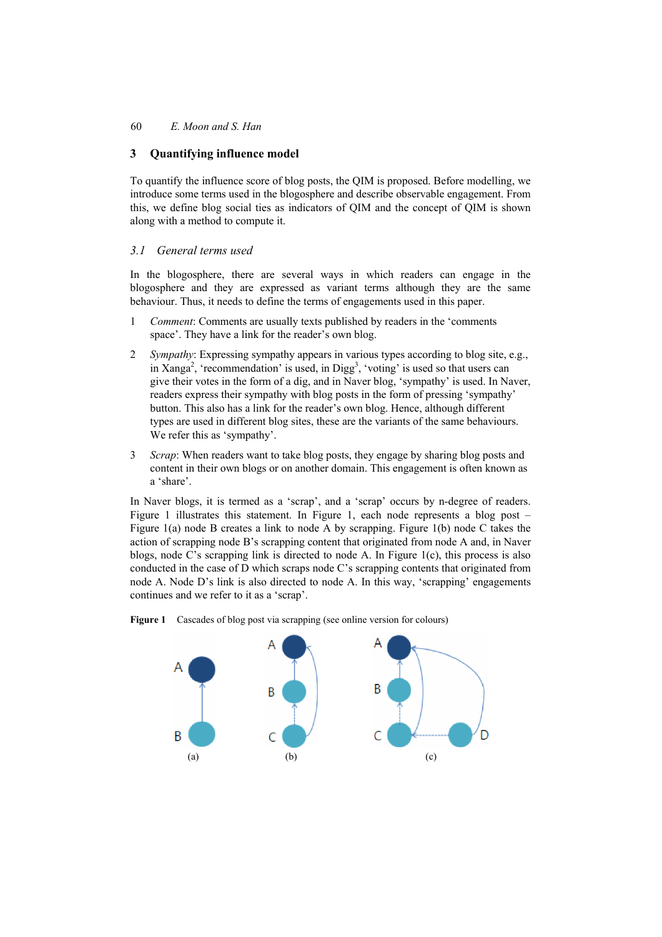# **3 Quantifying influence model**

To quantify the influence score of blog posts, the QIM is proposed. Before modelling, we introduce some terms used in the blogosphere and describe observable engagement. From this, we define blog social ties as indicators of QIM and the concept of QIM is shown along with a method to compute it.

## *3.1 General terms used*

In the blogosphere, there are several ways in which readers can engage in the blogosphere and they are expressed as variant terms although they are the same behaviour. Thus, it needs to define the terms of engagements used in this paper.

- 1 *Comment*: Comments are usually texts published by readers in the 'comments space'. They have a link for the reader's own blog.
- 2 *Sympathy*: Expressing sympathy appears in various types according to blog site, e.g., in Xanga<sup>2</sup>, 'recommendation' is used, in Digg<sup>3</sup>, 'voting' is used so that users can give their votes in the form of a dig, and in Naver blog, 'sympathy' is used. In Naver, readers express their sympathy with blog posts in the form of pressing 'sympathy' button. This also has a link for the reader's own blog. Hence, although different types are used in different blog sites, these are the variants of the same behaviours. We refer this as 'sympathy'.
- 3 *Scrap*: When readers want to take blog posts, they engage by sharing blog posts and content in their own blogs or on another domain. This engagement is often known as a 'share'.

In Naver blogs, it is termed as a 'scrap', and a 'scrap' occurs by n-degree of readers. Figure 1 illustrates this statement. In Figure 1, each node represents a blog post – Figure 1(a) node B creates a link to node A by scrapping. Figure 1(b) node C takes the action of scrapping node B's scrapping content that originated from node A and, in Naver blogs, node C's scrapping link is directed to node A. In Figure 1(c), this process is also conducted in the case of D which scraps node C's scrapping contents that originated from node A. Node D's link is also directed to node A. In this way, 'scrapping' engagements continues and we refer to it as a 'scrap'.



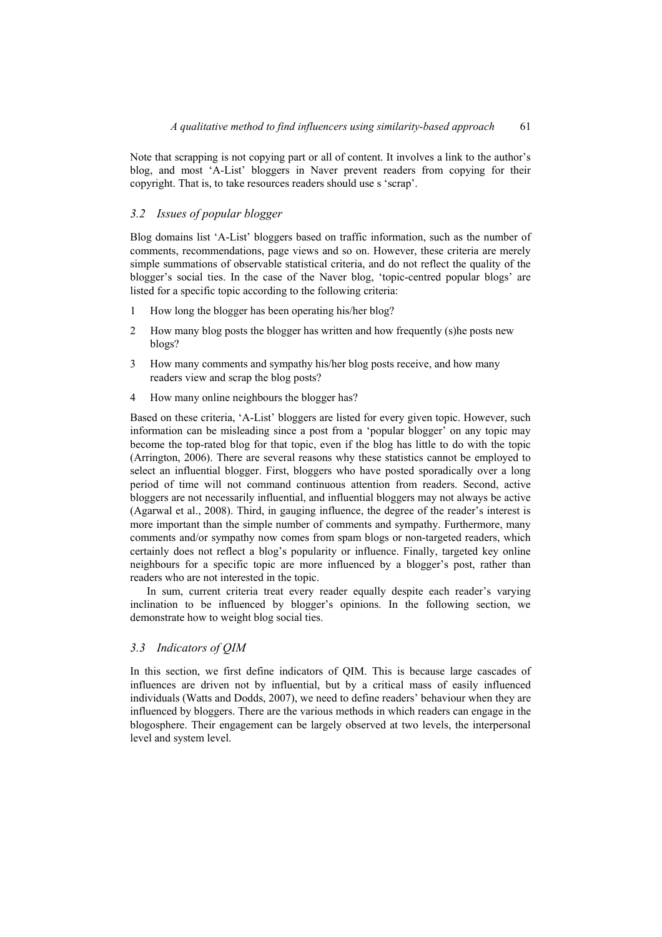Note that scrapping is not copying part or all of content. It involves a link to the author's blog, and most 'A-List' bloggers in Naver prevent readers from copying for their copyright. That is, to take resources readers should use s 'scrap'.

# *3.2 Issues of popular blogger*

Blog domains list 'A-List' bloggers based on traffic information, such as the number of comments, recommendations, page views and so on. However, these criteria are merely simple summations of observable statistical criteria, and do not reflect the quality of the blogger's social ties. In the case of the Naver blog, 'topic-centred popular blogs' are listed for a specific topic according to the following criteria:

- 1 How long the blogger has been operating his/her blog?
- 2 How many blog posts the blogger has written and how frequently (s)he posts new blogs?
- 3 How many comments and sympathy his/her blog posts receive, and how many readers view and scrap the blog posts?
- 4 How many online neighbours the blogger has?

Based on these criteria, 'A-List' bloggers are listed for every given topic. However, such information can be misleading since a post from a 'popular blogger' on any topic may become the top-rated blog for that topic, even if the blog has little to do with the topic (Arrington, 2006). There are several reasons why these statistics cannot be employed to select an influential blogger. First, bloggers who have posted sporadically over a long period of time will not command continuous attention from readers. Second, active bloggers are not necessarily influential, and influential bloggers may not always be active (Agarwal et al., 2008). Third, in gauging influence, the degree of the reader's interest is more important than the simple number of comments and sympathy. Furthermore, many comments and/or sympathy now comes from spam blogs or non-targeted readers, which certainly does not reflect a blog's popularity or influence. Finally, targeted key online neighbours for a specific topic are more influenced by a blogger's post, rather than readers who are not interested in the topic.

In sum, current criteria treat every reader equally despite each reader's varying inclination to be influenced by blogger's opinions. In the following section, we demonstrate how to weight blog social ties.

### *3.3 Indicators of QIM*

In this section, we first define indicators of QIM. This is because large cascades of influences are driven not by influential, but by a critical mass of easily influenced individuals (Watts and Dodds, 2007), we need to define readers' behaviour when they are influenced by bloggers. There are the various methods in which readers can engage in the blogosphere. Their engagement can be largely observed at two levels, the interpersonal level and system level.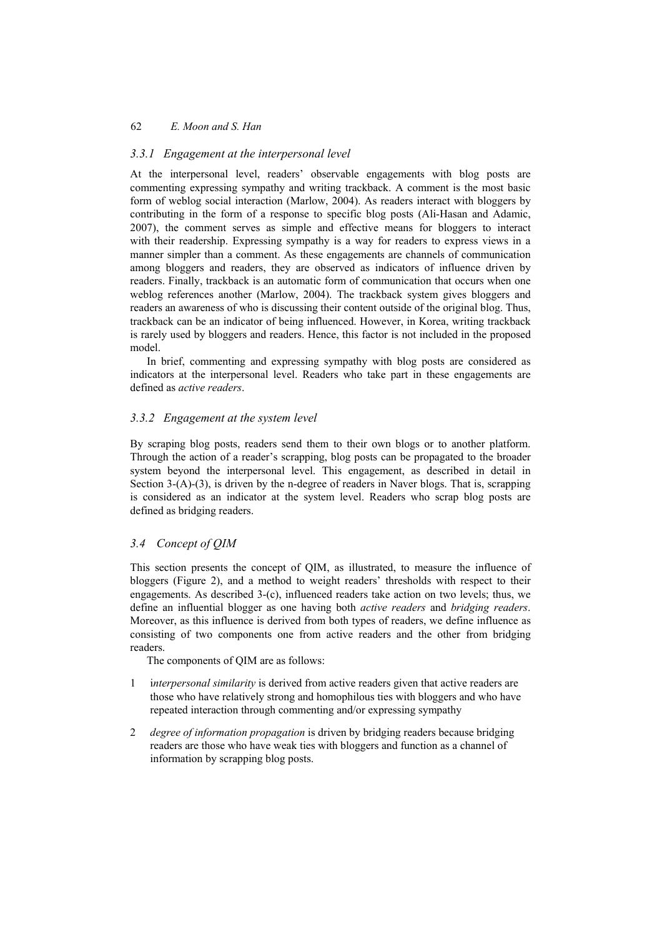### *3.3.1 Engagement at the interpersonal level*

At the interpersonal level, readers' observable engagements with blog posts are commenting expressing sympathy and writing trackback. A comment is the most basic form of weblog social interaction (Marlow, 2004). As readers interact with bloggers by contributing in the form of a response to specific blog posts (Ali-Hasan and Adamic, 2007), the comment serves as simple and effective means for bloggers to interact with their readership. Expressing sympathy is a way for readers to express views in a manner simpler than a comment. As these engagements are channels of communication among bloggers and readers, they are observed as indicators of influence driven by readers. Finally, trackback is an automatic form of communication that occurs when one weblog references another (Marlow, 2004). The trackback system gives bloggers and readers an awareness of who is discussing their content outside of the original blog. Thus, trackback can be an indicator of being influenced. However, in Korea, writing trackback is rarely used by bloggers and readers. Hence, this factor is not included in the proposed model.

In brief, commenting and expressing sympathy with blog posts are considered as indicators at the interpersonal level. Readers who take part in these engagements are defined as *active readers*.

#### *3.3.2 Engagement at the system level*

By scraping blog posts, readers send them to their own blogs or to another platform. Through the action of a reader's scrapping, blog posts can be propagated to the broader system beyond the interpersonal level. This engagement, as described in detail in Section 3-(A)-(3), is driven by the n-degree of readers in Naver blogs. That is, scrapping is considered as an indicator at the system level. Readers who scrap blog posts are defined as bridging readers.

# *3.4 Concept of QIM*

This section presents the concept of QIM, as illustrated, to measure the influence of bloggers (Figure 2), and a method to weight readers' thresholds with respect to their engagements. As described 3-(c), influenced readers take action on two levels; thus, we define an influential blogger as one having both *active readers* and *bridging readers*. Moreover, as this influence is derived from both types of readers, we define influence as consisting of two components one from active readers and the other from bridging readers.

The components of QIM are as follows:

- 1 i*nterpersonal similarity* is derived from active readers given that active readers are those who have relatively strong and homophilous ties with bloggers and who have repeated interaction through commenting and/or expressing sympathy
- 2 *degree of information propagation* is driven by bridging readers because bridging readers are those who have weak ties with bloggers and function as a channel of information by scrapping blog posts.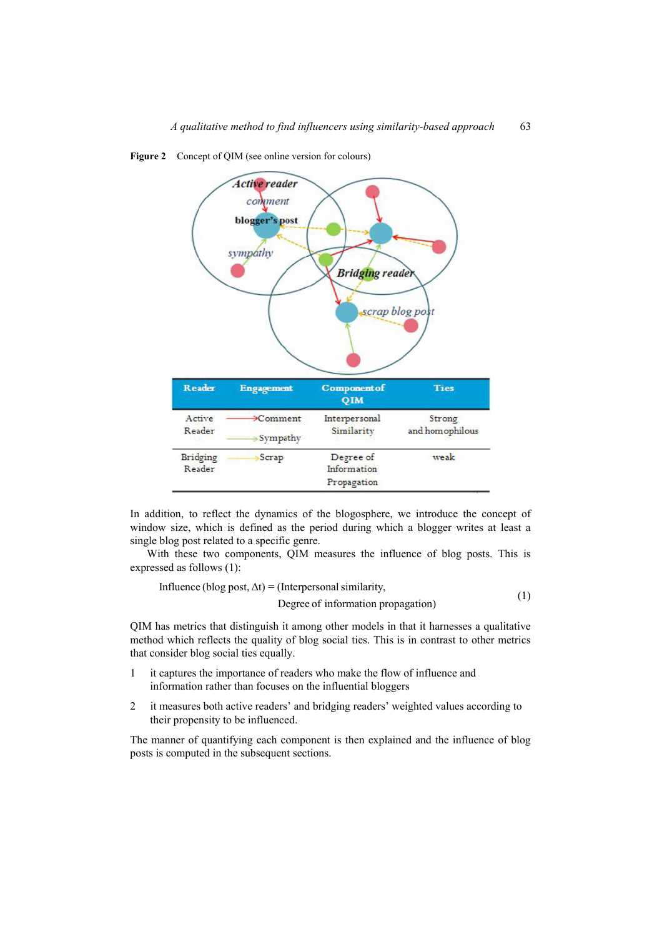



In addition, to reflect the dynamics of the blogosphere, we introduce the concept of window size, which is defined as the period during which a blogger writes at least a single blog post related to a specific genre.

With these two components, QIM measures the influence of blog posts. This is expressed as follows (1):

Influence (blog post, 
$$
\Delta t
$$
) = (Interpersonal similarity,  
Degree of information propagation) (1)

QIM has metrics that distinguish it among other models in that it harnesses a qualitative method which reflects the quality of blog social ties. This is in contrast to other metrics that consider blog social ties equally.

- 1 it captures the importance of readers who make the flow of influence and information rather than focuses on the influential bloggers
- 2 it measures both active readers' and bridging readers' weighted values according to their propensity to be influenced.

The manner of quantifying each component is then explained and the influence of blog posts is computed in the subsequent sections.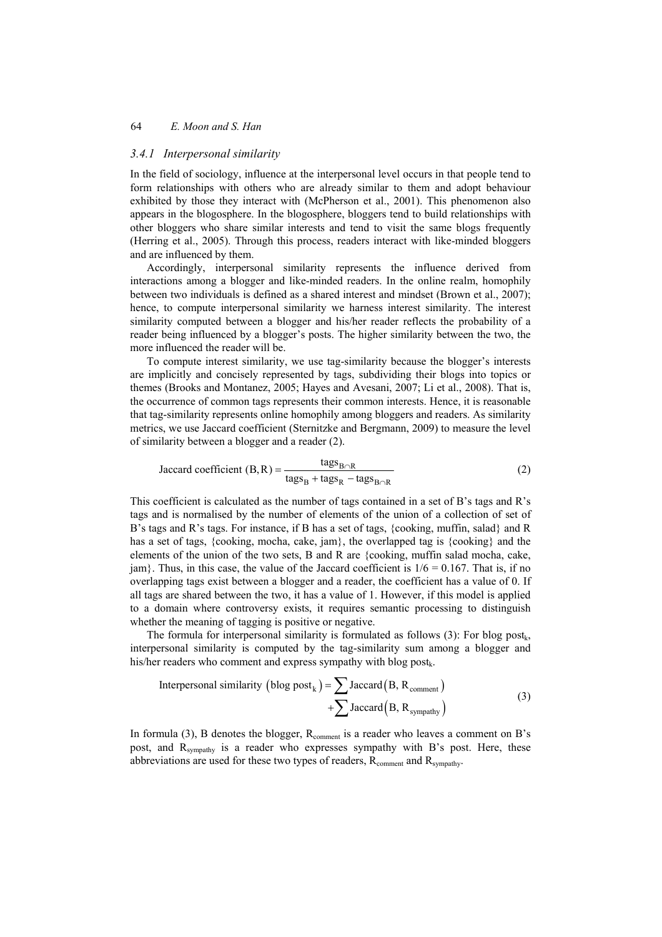#### *3.4.1 Interpersonal similarity*

In the field of sociology, influence at the interpersonal level occurs in that people tend to form relationships with others who are already similar to them and adopt behaviour exhibited by those they interact with (McPherson et al., 2001). This phenomenon also appears in the blogosphere. In the blogosphere, bloggers tend to build relationships with other bloggers who share similar interests and tend to visit the same blogs frequently (Herring et al., 2005). Through this process, readers interact with like-minded bloggers and are influenced by them.

Accordingly, interpersonal similarity represents the influence derived from interactions among a blogger and like-minded readers. In the online realm, homophily between two individuals is defined as a shared interest and mindset (Brown et al., 2007); hence, to compute interpersonal similarity we harness interest similarity. The interest similarity computed between a blogger and his/her reader reflects the probability of a reader being influenced by a blogger's posts. The higher similarity between the two, the more influenced the reader will be.

To compute interest similarity, we use tag-similarity because the blogger's interests are implicitly and concisely represented by tags, subdividing their blogs into topics or themes (Brooks and Montanez, 2005; Hayes and Avesani, 2007; Li et al., 2008). That is, the occurrence of common tags represents their common interests. Hence, it is reasonable that tag-similarity represents online homophily among bloggers and readers. As similarity metrics, we use Jaccard coefficient (Sternitzke and Bergmann, 2009) to measure the level of similarity between a blogger and a reader (2).

Jaccard coefficient (B, R) = 
$$
\frac{\text{tags}_{B \cap R}}{\text{tags}_{B} + \text{tags}_{R} - \text{tags}_{B \cap R}}
$$
(2)

This coefficient is calculated as the number of tags contained in a set of B's tags and R's tags and is normalised by the number of elements of the union of a collection of set of B's tags and R's tags. For instance, if B has a set of tags, {cooking, muffin, salad} and R has a set of tags, {cooking, mocha, cake, jam}, the overlapped tag is {cooking} and the elements of the union of the two sets, B and R are {cooking, muffin salad mocha, cake, iam}. Thus, in this case, the value of the Jaccard coefficient is  $1/6 = 0.167$ . That is, if no overlapping tags exist between a blogger and a reader, the coefficient has a value of 0. If all tags are shared between the two, it has a value of 1. However, if this model is applied to a domain where controversy exists, it requires semantic processing to distinguish whether the meaning of tagging is positive or negative.

The formula for interpersonal similarity is formulated as follows (3): For blog post<sub>k</sub>, interpersonal similarity is computed by the tag-similarity sum among a blogger and his/her readers who comment and express sympathy with blog post<sub>k</sub>.

Interpersonal similarity (blog post<sub>k</sub>) = 
$$
\sum
$$
 Jaccard (B, R<sub>comment</sub>)  
+ $\sum$  Jaccard (B, R<sub>sympathy</sub>) (3)

In formula (3), B denotes the blogger,  $R_{\text{comment}}$  is a reader who leaves a comment on B's post, and R<sub>sympathy</sub> is a reader who expresses sympathy with B's post. Here, these abbreviations are used for these two types of readers,  $R_{\text{comment}}$  and  $R_{\text{summ}$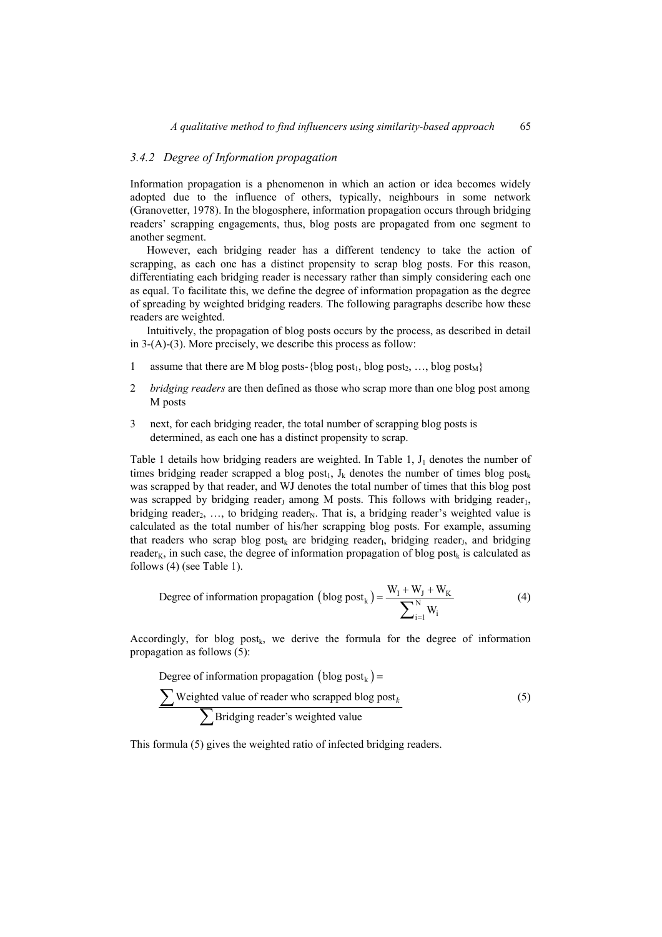# *3.4.2 Degree of Information propagation*

Information propagation is a phenomenon in which an action or idea becomes widely adopted due to the influence of others, typically, neighbours in some network (Granovetter, 1978). In the blogosphere, information propagation occurs through bridging readers' scrapping engagements, thus, blog posts are propagated from one segment to another segment.

However, each bridging reader has a different tendency to take the action of scrapping, as each one has a distinct propensity to scrap blog posts. For this reason, differentiating each bridging reader is necessary rather than simply considering each one as equal. To facilitate this, we define the degree of information propagation as the degree of spreading by weighted bridging readers. The following paragraphs describe how these readers are weighted.

Intuitively, the propagation of blog posts occurs by the process, as described in detail in 3-(A)-(3). More precisely, we describe this process as follow:

- 1 assume that there are M blog posts-{blog post<sub>1</sub>, blog post<sub>2</sub>, ..., blog post<sub>M</sub>}
- 2 *bridging readers* are then defined as those who scrap more than one blog post among M posts
- 3 next, for each bridging reader, the total number of scrapping blog posts is determined, as each one has a distinct propensity to scrap.

Table 1 details how bridging readers are weighted. In Table 1,  $J_1$  denotes the number of times bridging reader scrapped a blog post<sub>1</sub>,  $J_k$  denotes the number of times blog post<sub>k</sub> was scrapped by that reader, and WJ denotes the total number of times that this blog post was scrapped by bridging reader, among M posts. This follows with bridging reader. bridging reader<sub>2</sub>, ..., to bridging reader<sub>N</sub>. That is, a bridging reader's weighted value is calculated as the total number of his/her scrapping blog posts. For example, assuming that readers who scrap blog post<sub>k</sub> are bridging reader<sub>I</sub>, bridging reader<sub>I</sub>, and bridging reader<sub>K</sub>, in such case, the degree of information propagation of blog post<sub>k</sub> is calculated as follows (4) (see Table 1).

Degree of information propagation (blog post<sub>k</sub>) = 
$$
\frac{W_I + W_J + W_K}{\sum_{i=1}^{N} W_i}
$$
 (4)

Accordingly, for blog post<sub>k</sub>, we derive the formula for the degree of information propagation as follows (5):

Degree of information propagation (blog post<sub>k</sub>) =

$$
\sum \text{Weighted value of reader who scrambled blog post}_k \tag{5}
$$

∑Bridging reader's weighted value

This formula (5) gives the weighted ratio of infected bridging readers.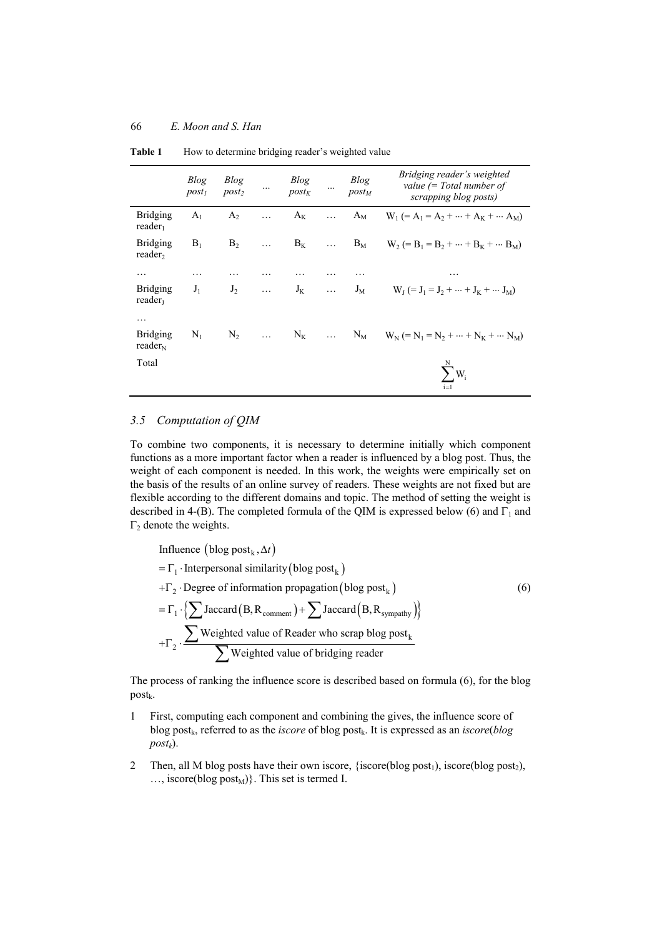|                                        | Blog<br>post <sub>l</sub> | Blog<br>post <sub>2</sub> |          | Blog<br>$\cdots$ post <sub>K</sub> | $\cdots$ . | <b>Blog</b><br>$post_M$ | Bridging reader's weighted<br>value $(= Total number of$<br>scrapping blog posts)      |
|----------------------------------------|---------------------------|---------------------------|----------|------------------------------------|------------|-------------------------|----------------------------------------------------------------------------------------|
| <b>Bridging</b><br>$reader_1$          | A <sub>1</sub>            | A <sub>2</sub>            | $\ldots$ | $A_{K}$                            | $\ldots$   |                         | $A_M$ $W_1$ (= A <sub>1</sub> = A <sub>2</sub> +  + A <sub>K</sub> +  A <sub>M</sub> ) |
| <b>Bridging</b><br>reader <sub>2</sub> | $B_1$                     | $B_2$                     |          | $\ldots$ $B_K$ $\ldots$            |            |                         | $B_M$ $W_2$ (= B <sub>1</sub> = B <sub>2</sub> +  + B <sub>K</sub> +  B <sub>M</sub> ) |
| .                                      | .                         |                           |          |                                    |            |                         | .                                                                                      |
| Bridging<br>$reader_1$                 | $J_1$                     |                           |          |                                    |            |                         | $J_2$ $J_K$ $J_M$ $W_J (= J_1 = J_2 +  + J_K +  J_M)$                                  |
| .                                      |                           |                           |          |                                    |            |                         |                                                                                        |
| <b>Bridging</b><br>reader <sub>N</sub> | $N_1$                     |                           |          | $N_2$ $N_K$                        |            |                         | $N_M$ $W_N$ (= $N_1$ = $N_2$ + $\cdots$ + $N_K$ + $\cdots$ $N_M$ )                     |
| Total                                  |                           |                           |          |                                    |            |                         | $\sum W_i$                                                                             |

**Table 1** How to determine bridging reader's weighted value

# *3.5 Computation of QIM*

To combine two components, it is necessary to determine initially which component functions as a more important factor when a reader is influenced by a blog post. Thus, the weight of each component is needed. In this work, the weights were empirically set on the basis of the results of an online survey of readers. These weights are not fixed but are flexible according to the different domains and topic. The method of setting the weight is described in 4-(B). The completed formula of the QIM is expressed below (6) and  $\Gamma_1$  and  $Γ<sub>2</sub>$  denote the weights.

Influence  $\left(\text{blog post}_k, \Delta t\right)$  $=\Gamma_1 \cdot$  Interpersonal similarity (blog post<sub>k</sub>) + $\Gamma_2$  · Degree of information propagation (blog post<sub>k</sub>)  $= \Gamma_1 \cdot \left\{ \sum \text{Jaccard} \left( \text{B}, \text{R}_{\text{comment}} \right) + \sum \text{Jaccard} \left( \text{B}, \text{R}_{\text{sympathy}} \right) \right\}$ k 2 Weighted value of Reader who scrap blog post  $_{\pm\Gamma_2}$ . $\sum$ ∑Weighted value of bridging reader (6)

The process of ranking the influence score is described based on formula (6), for the blog  $post_k$ .

- 1 First, computing each component and combining the gives, the influence score of blog postk, referred to as the *iscore* of blog postk. It is expressed as an *iscore*(*blog*   $post_k$ ).
- 2 Then, all M blog posts have their own iscore, {iscore(blog post<sub>1</sub>), iscore(blog post<sub>2</sub>),  $...,$  iscore(blog post<sub>M</sub>)}. This set is termed I.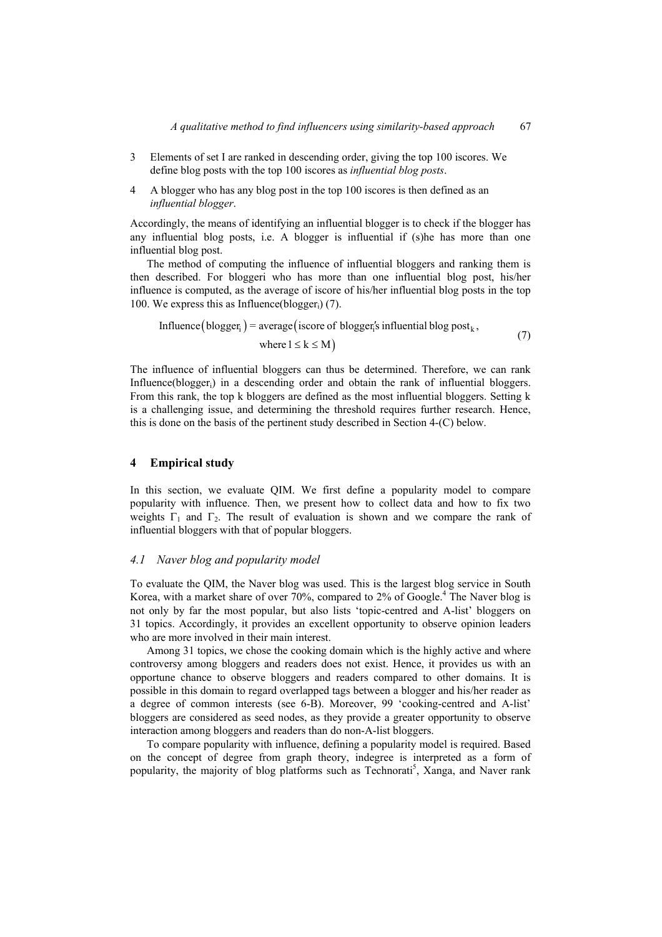- 3 Elements of set I are ranked in descending order, giving the top 100 iscores. We define blog posts with the top 100 iscores as *influential blog posts*.
- 4 A blogger who has any blog post in the top 100 iscores is then defined as an *influential blogger*.

Accordingly, the means of identifying an influential blogger is to check if the blogger has any influential blog posts, i.e. A blogger is influential if (s)he has more than one influential blog post.

The method of computing the influence of influential bloggers and ranking them is then described. For bloggeri who has more than one influential blog post, his/her influence is computed, as the average of iscore of his/her influential blog posts in the top 100. We express this as Influence(blogger<sub>i</sub>)  $(7)$ .

Influence (blogger<sub>i</sub>) = average (iscore of blogger's influential blog post<sub>k</sub>,

where  $1 \leq k \leq M$ )

(7)

The influence of influential bloggers can thus be determined. Therefore, we can rank Influence(blogger<sub>i</sub>) in a descending order and obtain the rank of influential bloggers. From this rank, the top k bloggers are defined as the most influential bloggers. Setting k is a challenging issue, and determining the threshold requires further research. Hence, this is done on the basis of the pertinent study described in Section 4-(C) below.

### **4 Empirical study**

In this section, we evaluate QIM. We first define a popularity model to compare popularity with influence. Then, we present how to collect data and how to fix two weights  $\Gamma_1$  and  $\Gamma_2$ . The result of evaluation is shown and we compare the rank of influential bloggers with that of popular bloggers.

### *4.1 Naver blog and popularity model*

To evaluate the QIM, the Naver blog was used. This is the largest blog service in South Korea, with a market share of over  $70\%$ , compared to  $2\%$  of Google.<sup>4</sup> The Naver blog is not only by far the most popular, but also lists 'topic-centred and A-list' bloggers on 31 topics. Accordingly, it provides an excellent opportunity to observe opinion leaders who are more involved in their main interest.

Among 31 topics, we chose the cooking domain which is the highly active and where controversy among bloggers and readers does not exist. Hence, it provides us with an opportune chance to observe bloggers and readers compared to other domains. It is possible in this domain to regard overlapped tags between a blogger and his/her reader as a degree of common interests (see 6-B). Moreover, 99 'cooking-centred and A-list' bloggers are considered as seed nodes, as they provide a greater opportunity to observe interaction among bloggers and readers than do non-A-list bloggers.

To compare popularity with influence, defining a popularity model is required. Based on the concept of degree from graph theory, indegree is interpreted as a form of popularity, the majority of blog platforms such as Technorati<sup>5</sup>, Xanga, and Naver rank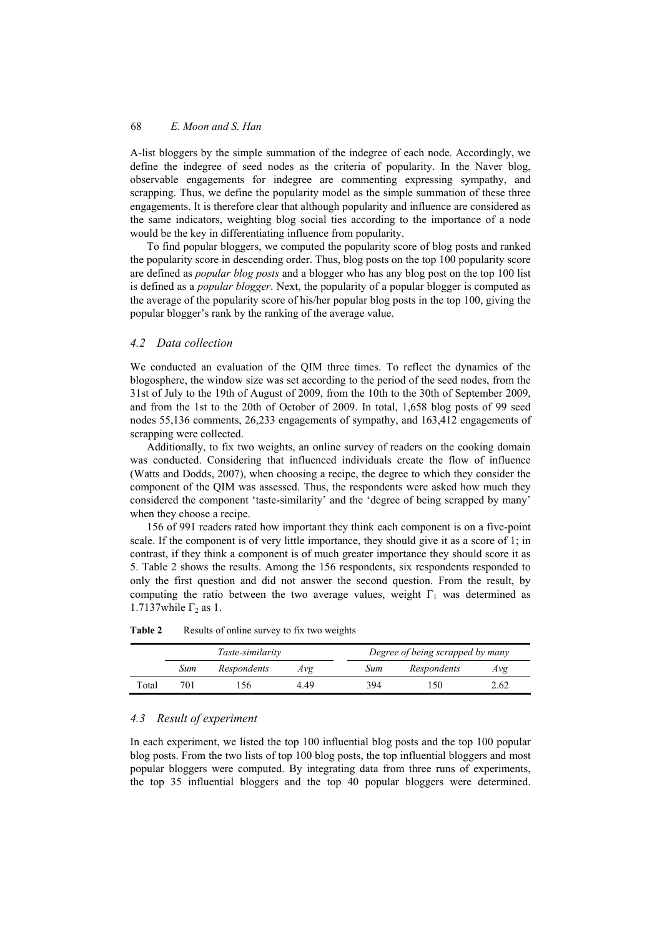A-list bloggers by the simple summation of the indegree of each node. Accordingly, we define the indegree of seed nodes as the criteria of popularity. In the Naver blog, observable engagements for indegree are commenting expressing sympathy, and scrapping. Thus, we define the popularity model as the simple summation of these three engagements. It is therefore clear that although popularity and influence are considered as the same indicators, weighting blog social ties according to the importance of a node would be the key in differentiating influence from popularity.

To find popular bloggers, we computed the popularity score of blog posts and ranked the popularity score in descending order. Thus, blog posts on the top 100 popularity score are defined as *popular blog posts* and a blogger who has any blog post on the top 100 list is defined as a *popular blogger*. Next, the popularity of a popular blogger is computed as the average of the popularity score of his/her popular blog posts in the top 100, giving the popular blogger's rank by the ranking of the average value.

#### *4.2 Data collection*

We conducted an evaluation of the QIM three times. To reflect the dynamics of the blogosphere, the window size was set according to the period of the seed nodes, from the 31st of July to the 19th of August of 2009, from the 10th to the 30th of September 2009, and from the 1st to the 20th of October of 2009. In total, 1,658 blog posts of 99 seed nodes 55,136 comments, 26,233 engagements of sympathy, and 163,412 engagements of scrapping were collected.

Additionally, to fix two weights, an online survey of readers on the cooking domain was conducted. Considering that influenced individuals create the flow of influence (Watts and Dodds, 2007), when choosing a recipe, the degree to which they consider the component of the QIM was assessed. Thus, the respondents were asked how much they considered the component 'taste-similarity' and the 'degree of being scrapped by many' when they choose a recipe.

156 of 991 readers rated how important they think each component is on a five-point scale. If the component is of very little importance, they should give it as a score of 1; in contrast, if they think a component is of much greater importance they should score it as 5. Table 2 shows the results. Among the 156 respondents, six respondents responded to only the first question and did not answer the second question. From the result, by computing the ratio between the two average values, weight  $\Gamma_1$  was determined as 1.7137while  $\Gamma_2$  as 1.

Table 2 Results of online survey to fix two weights

|       |                           | Taste-similarity |     | Degree of being scrapped by many |             |      |  |
|-------|---------------------------|------------------|-----|----------------------------------|-------------|------|--|
|       | Respondents<br>Sum<br>Avg |                  |     | Sum                              | Respondents | Avg  |  |
| Total |                           | -56              | 449 | 394                              | 50          | 2.62 |  |

# *4.3 Result of experiment*

In each experiment, we listed the top 100 influential blog posts and the top 100 popular blog posts. From the two lists of top 100 blog posts, the top influential bloggers and most popular bloggers were computed. By integrating data from three runs of experiments, the top 35 influential bloggers and the top 40 popular bloggers were determined.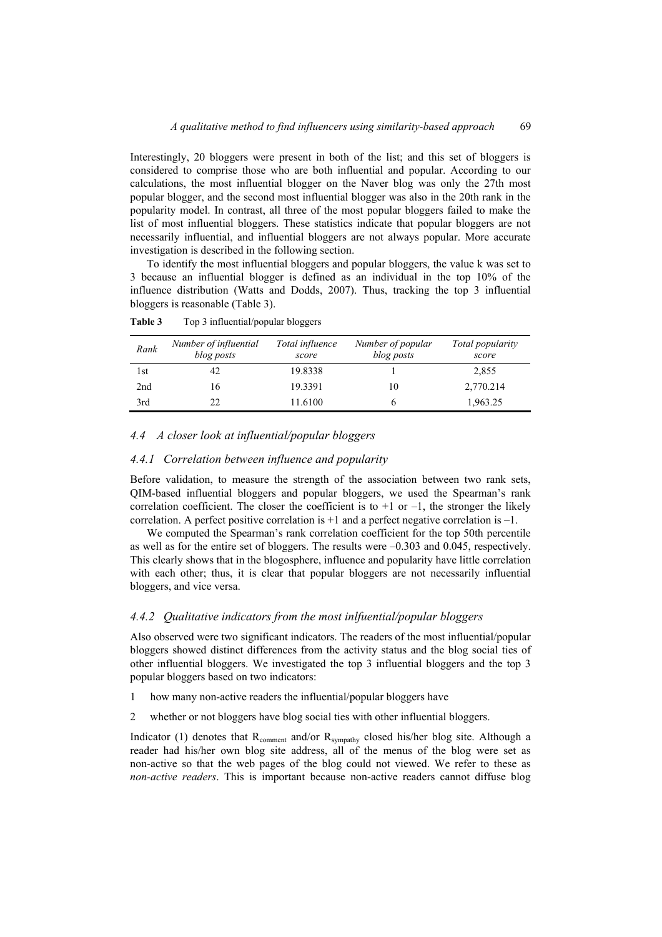Interestingly, 20 bloggers were present in both of the list; and this set of bloggers is considered to comprise those who are both influential and popular. According to our calculations, the most influential blogger on the Naver blog was only the 27th most popular blogger, and the second most influential blogger was also in the 20th rank in the popularity model. In contrast, all three of the most popular bloggers failed to make the list of most influential bloggers. These statistics indicate that popular bloggers are not necessarily influential, and influential bloggers are not always popular. More accurate investigation is described in the following section.

To identify the most influential bloggers and popular bloggers, the value k was set to 3 because an influential blogger is defined as an individual in the top 10% of the influence distribution (Watts and Dodds, 2007). Thus, tracking the top 3 influential bloggers is reasonable (Table 3).

**Table 3** Top 3 influential/popular bloggers

| Rank | Number of influential<br>blog posts | Total influence<br>score | Number of popular<br>blog posts | Total popularity<br>score |
|------|-------------------------------------|--------------------------|---------------------------------|---------------------------|
| 1st  | 42                                  | 19.8338                  |                                 | 2,855                     |
| 2nd  | 16                                  | 19.3391                  | 10                              | 2,770.214                 |
| 3rd  | 22                                  | 11.6100                  |                                 | 1,963.25                  |

# *4.4 A closer look at influential/popular bloggers*

### *4.4.1 Correlation between influence and popularity*

Before validation, to measure the strength of the association between two rank sets, QIM-based influential bloggers and popular bloggers, we used the Spearman's rank correlation coefficient. The closer the coefficient is to  $+1$  or  $-1$ , the stronger the likely correlation. A perfect positive correlation is +1 and a perfect negative correlation is –1.

We computed the Spearman's rank correlation coefficient for the top 50th percentile as well as for the entire set of bloggers. The results were –0.303 and 0.045, respectively. This clearly shows that in the blogosphere, influence and popularity have little correlation with each other; thus, it is clear that popular bloggers are not necessarily influential bloggers, and vice versa.

### *4.4.2 Qualitative indicators from the most inlfuential/popular bloggers*

Also observed were two significant indicators. The readers of the most influential/popular bloggers showed distinct differences from the activity status and the blog social ties of other influential bloggers. We investigated the top 3 influential bloggers and the top 3 popular bloggers based on two indicators:

- 1 how many non-active readers the influential/popular bloggers have
- 2 whether or not bloggers have blog social ties with other influential bloggers.

Indicator (1) denotes that R<sub>comment</sub> and/or R<sub>sympathy</sub> closed his/her blog site. Although a reader had his/her own blog site address, all of the menus of the blog were set as non-active so that the web pages of the blog could not viewed. We refer to these as *non-active readers*. This is important because non-active readers cannot diffuse blog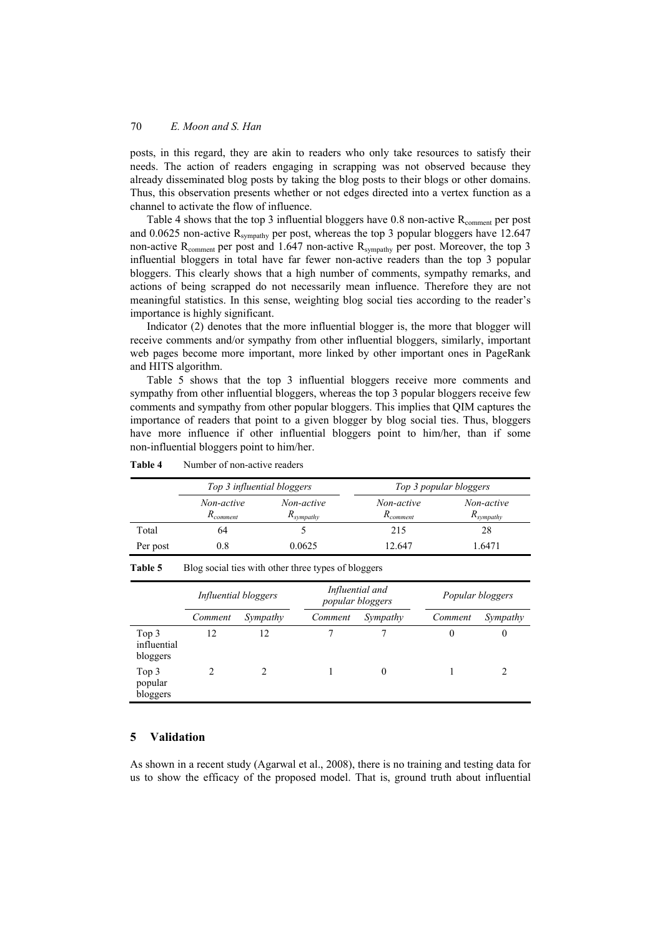posts, in this regard, they are akin to readers who only take resources to satisfy their needs. The action of readers engaging in scrapping was not observed because they already disseminated blog posts by taking the blog posts to their blogs or other domains. Thus, this observation presents whether or not edges directed into a vertex function as a channel to activate the flow of influence.

Table 4 shows that the top 3 influential bloggers have  $0.8$  non-active  $R_{\text{comment}}$  per post and 0.0625 non-active  $R_{sympathy}$  per post, whereas the top 3 popular bloggers have 12.647 non-active  $R_{\text{comment}}$  per post and 1.647 non-active  $R_{\text{sympathy}}$  per post. Moreover, the top 3 influential bloggers in total have far fewer non-active readers than the top 3 popular bloggers. This clearly shows that a high number of comments, sympathy remarks, and actions of being scrapped do not necessarily mean influence. Therefore they are not meaningful statistics. In this sense, weighting blog social ties according to the reader's importance is highly significant.

Indicator (2) denotes that the more influential blogger is, the more that blogger will receive comments and/or sympathy from other influential bloggers, similarly, important web pages become more important, more linked by other important ones in PageRank and HITS algorithm.

Table 5 shows that the top 3 influential bloggers receive more comments and sympathy from other influential bloggers, whereas the top 3 popular bloggers receive few comments and sympathy from other popular bloggers. This implies that QIM captures the importance of readers that point to a given blogger by blog social ties. Thus, bloggers have more influence if other influential bloggers point to him/her, than if some non-influential bloggers point to him/her.

|          | Top 3 influential bloggers  |                              | Top 3 popular bloggers      |                              |  |
|----------|-----------------------------|------------------------------|-----------------------------|------------------------------|--|
|          | Non-active<br>$R_{comment}$ | Non-active<br>$R_{sympathy}$ | Non-active<br>$R_{comment}$ | Non-active<br>$R_{swmpathv}$ |  |
| Total    | 64                          |                              | 215                         | 28                           |  |
| Per post | ).8                         | 0.0625                       | 12.647                      | 1.6471                       |  |

**Table 4** Number of non-active readers

**Table 5** Blog social ties with other three types of bloggers

|                                  | Influential bloggers |          |  | Influential and<br>popular bloggers |          |  | Popular bloggers |          |  |
|----------------------------------|----------------------|----------|--|-------------------------------------|----------|--|------------------|----------|--|
|                                  | Comment              | Sympathy |  | Comment                             | Sympathy |  | Comment          | Sympathy |  |
| Top 3<br>influential<br>bloggers | 12                   | 12       |  |                                     |          |  | 0                | $\theta$ |  |
| Top 3<br>popular<br>bloggers     |                      | 2        |  |                                     | $\theta$ |  |                  |          |  |

# **5 Validation**

As shown in a recent study (Agarwal et al., 2008), there is no training and testing data for us to show the efficacy of the proposed model. That is, ground truth about influential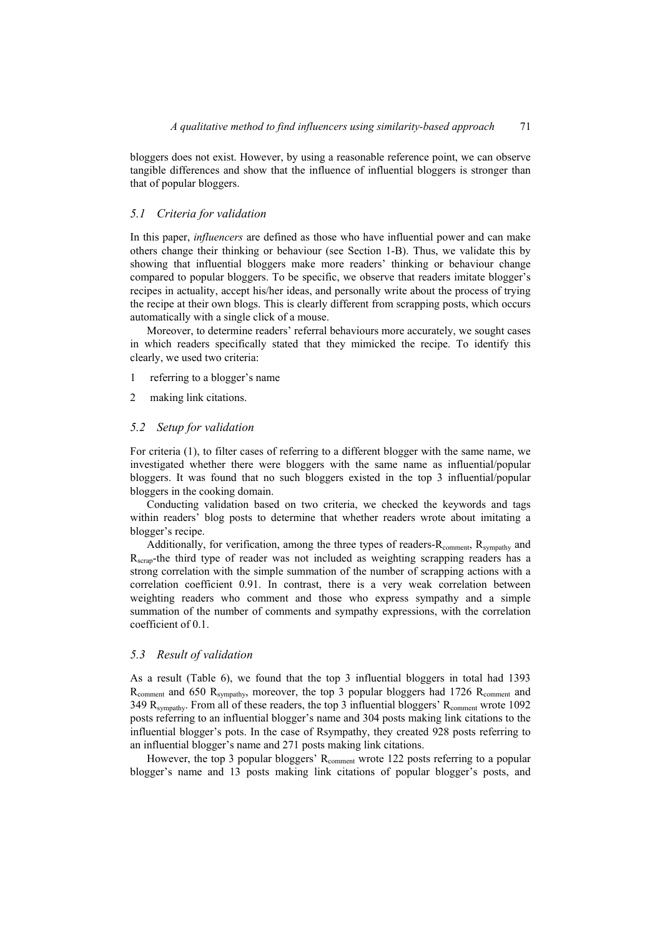bloggers does not exist. However, by using a reasonable reference point, we can observe tangible differences and show that the influence of influential bloggers is stronger than that of popular bloggers.

## *5.1 Criteria for validation*

In this paper, *influencers* are defined as those who have influential power and can make others change their thinking or behaviour (see Section 1-B). Thus, we validate this by showing that influential bloggers make more readers' thinking or behaviour change compared to popular bloggers. To be specific, we observe that readers imitate blogger's recipes in actuality, accept his/her ideas, and personally write about the process of trying the recipe at their own blogs. This is clearly different from scrapping posts, which occurs automatically with a single click of a mouse.

Moreover, to determine readers' referral behaviours more accurately, we sought cases in which readers specifically stated that they mimicked the recipe. To identify this clearly, we used two criteria:

- 1 referring to a blogger's name
- 2 making link citations.

#### *5.2 Setup for validation*

For criteria (1), to filter cases of referring to a different blogger with the same name, we investigated whether there were bloggers with the same name as influential/popular bloggers. It was found that no such bloggers existed in the top 3 influential/popular bloggers in the cooking domain.

Conducting validation based on two criteria, we checked the keywords and tags within readers' blog posts to determine that whether readers wrote about imitating a blogger's recipe.

Additionally, for verification, among the three types of readers- $R_{\text{comment}}$ ,  $R_{\text{sympath}}$  and R<sub>scrap</sub>-the third type of reader was not included as weighting scrapping readers has a strong correlation with the simple summation of the number of scrapping actions with a correlation coefficient 0.91. In contrast, there is a very weak correlation between weighting readers who comment and those who express sympathy and a simple summation of the number of comments and sympathy expressions, with the correlation coefficient of 0.1.

### *5.3 Result of validation*

As a result (Table 6), we found that the top 3 influential bloggers in total had 1393  $R_{\text{comment}}$  and 650  $R_{\text{swmpathv}}$ , moreover, the top 3 popular bloggers had 1726  $R_{\text{comment}}$  and 349  $R_{\text{swmpath}}$ . From all of these readers, the top 3 influential bloggers'  $R_{\text{comment}}$  wrote 1092 posts referring to an influential blogger's name and 304 posts making link citations to the influential blogger's pots. In the case of Rsympathy, they created 928 posts referring to an influential blogger's name and 271 posts making link citations.

However, the top 3 popular bloggers'  $R_{\text{comment}}$  wrote 122 posts referring to a popular blogger's name and 13 posts making link citations of popular blogger's posts, and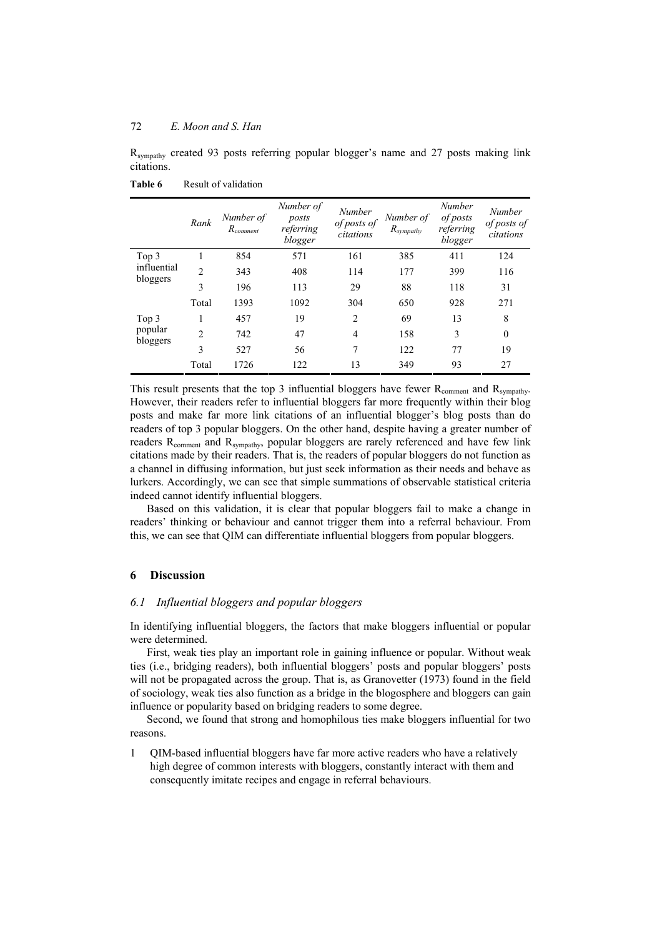Rsympathy created 93 posts referring popular blogger's name and 27 posts making link citations.

|                         | Rank           | Number of<br>$R_{comment}$ | Number of<br>posts<br>referring<br>blogger | <b>Number</b><br>of posts of<br>citations | Number of<br>$R_{sympathy}$ | Number<br>of posts<br>referring<br>blogger | <b>Number</b><br>of posts of<br>citations |
|-------------------------|----------------|----------------------------|--------------------------------------------|-------------------------------------------|-----------------------------|--------------------------------------------|-------------------------------------------|
| Top 3                   |                | 854                        | 571                                        | 161                                       | 385                         | 411                                        | 124                                       |
| influential<br>bloggers | $\overline{2}$ | 343                        | 408                                        | 114                                       | 177                         | 399                                        | 116                                       |
|                         | 3              | 196                        | 113                                        | 29                                        | 88                          | 118                                        | 31                                        |
|                         | Total          | 1393                       | 1092                                       | 304                                       | 650                         | 928                                        | 271                                       |
| Top 3                   |                | 457                        | 19                                         | $\overline{2}$                            | 69                          | 13                                         | 8                                         |
| popular<br>bloggers     | 2              | 742                        | 47                                         | $\overline{4}$                            | 158                         | 3                                          | $\boldsymbol{0}$                          |
|                         | 3              | 527                        | 56                                         | 7                                         | 122                         | 77                                         | 19                                        |
|                         | Total          | 1726                       | 122                                        | 13                                        | 349                         | 93                                         | 27                                        |

Table 6 Result of validation

This result presents that the top 3 influential bloggers have fewer R<sub>comment</sub> and R<sub>sympathy</sub>. However, their readers refer to influential bloggers far more frequently within their blog posts and make far more link citations of an influential blogger's blog posts than do readers of top 3 popular bloggers. On the other hand, despite having a greater number of readers R<sub>comment</sub> and R<sub>sympathy</sub>, popular bloggers are rarely referenced and have few link citations made by their readers. That is, the readers of popular bloggers do not function as a channel in diffusing information, but just seek information as their needs and behave as lurkers. Accordingly, we can see that simple summations of observable statistical criteria indeed cannot identify influential bloggers.

Based on this validation, it is clear that popular bloggers fail to make a change in readers' thinking or behaviour and cannot trigger them into a referral behaviour. From this, we can see that QIM can differentiate influential bloggers from popular bloggers.

## **6 Discussion**

### *6.1 Influential bloggers and popular bloggers*

In identifying influential bloggers, the factors that make bloggers influential or popular were determined.

First, weak ties play an important role in gaining influence or popular. Without weak ties (i.e., bridging readers), both influential bloggers' posts and popular bloggers' posts will not be propagated across the group. That is, as Granovetter (1973) found in the field of sociology, weak ties also function as a bridge in the blogosphere and bloggers can gain influence or popularity based on bridging readers to some degree.

Second, we found that strong and homophilous ties make bloggers influential for two reasons.

1 QIM-based influential bloggers have far more active readers who have a relatively high degree of common interests with bloggers, constantly interact with them and consequently imitate recipes and engage in referral behaviours.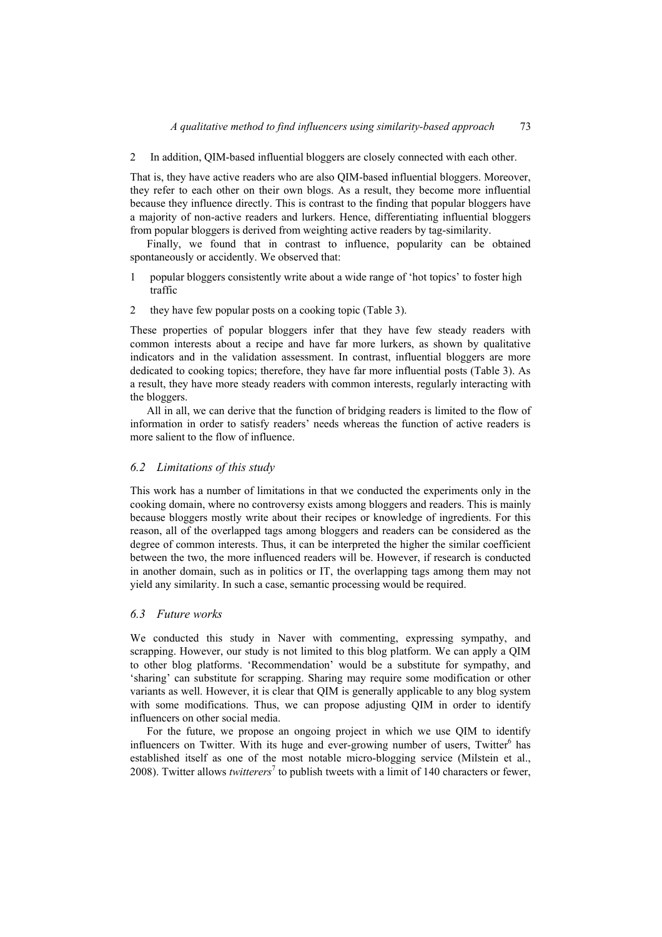2 In addition, QIM-based influential bloggers are closely connected with each other.

That is, they have active readers who are also QIM-based influential bloggers. Moreover, they refer to each other on their own blogs. As a result, they become more influential because they influence directly. This is contrast to the finding that popular bloggers have a majority of non-active readers and lurkers. Hence, differentiating influential bloggers from popular bloggers is derived from weighting active readers by tag-similarity.

Finally, we found that in contrast to influence, popularity can be obtained spontaneously or accidently. We observed that:

- 1 popular bloggers consistently write about a wide range of 'hot topics' to foster high traffic
- 2 they have few popular posts on a cooking topic (Table 3).

These properties of popular bloggers infer that they have few steady readers with common interests about a recipe and have far more lurkers, as shown by qualitative indicators and in the validation assessment. In contrast, influential bloggers are more dedicated to cooking topics; therefore, they have far more influential posts (Table 3). As a result, they have more steady readers with common interests, regularly interacting with the bloggers.

All in all, we can derive that the function of bridging readers is limited to the flow of information in order to satisfy readers' needs whereas the function of active readers is more salient to the flow of influence.

### *6.2 Limitations of this study*

This work has a number of limitations in that we conducted the experiments only in the cooking domain, where no controversy exists among bloggers and readers. This is mainly because bloggers mostly write about their recipes or knowledge of ingredients. For this reason, all of the overlapped tags among bloggers and readers can be considered as the degree of common interests. Thus, it can be interpreted the higher the similar coefficient between the two, the more influenced readers will be. However, if research is conducted in another domain, such as in politics or IT, the overlapping tags among them may not yield any similarity. In such a case, semantic processing would be required.

### *6.3 Future works*

We conducted this study in Naver with commenting, expressing sympathy, and scrapping. However, our study is not limited to this blog platform. We can apply a QIM to other blog platforms. 'Recommendation' would be a substitute for sympathy, and 'sharing' can substitute for scrapping. Sharing may require some modification or other variants as well. However, it is clear that QIM is generally applicable to any blog system with some modifications. Thus, we can propose adjusting QIM in order to identify influencers on other social media.

For the future, we propose an ongoing project in which we use QIM to identify influencers on Twitter. With its huge and ever-growing number of users, Twitter<sup>6</sup> has established itself as one of the most notable micro-blogging service (Milstein et al., 2008). Twitter allows *twitterers*<sup>7</sup> to publish tweets with a limit of 140 characters or fewer,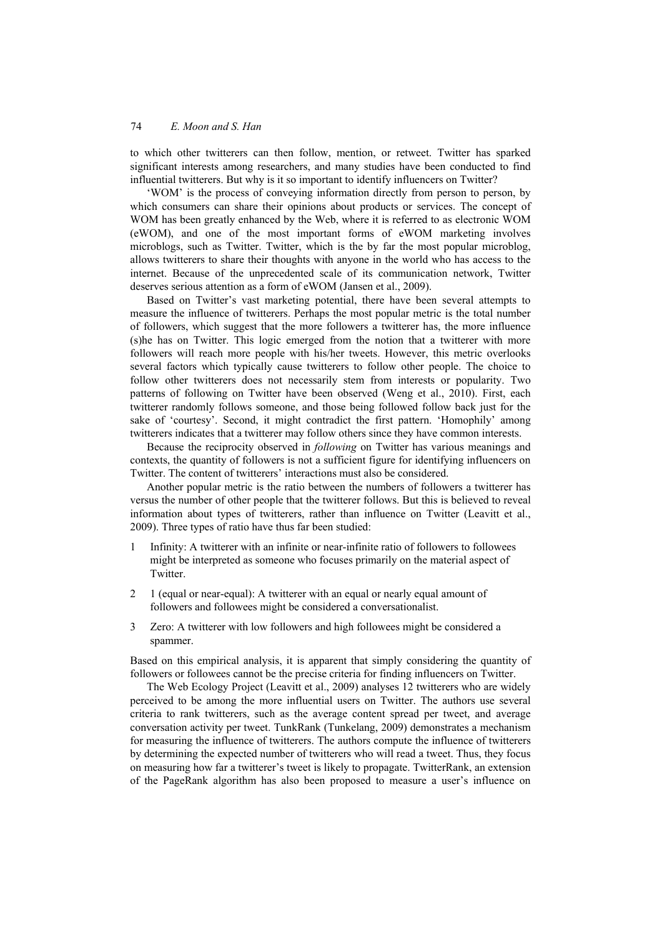to which other twitterers can then follow, mention, or retweet. Twitter has sparked significant interests among researchers, and many studies have been conducted to find influential twitterers. But why is it so important to identify influencers on Twitter?

'WOM' is the process of conveying information directly from person to person, by which consumers can share their opinions about products or services. The concept of WOM has been greatly enhanced by the Web, where it is referred to as electronic WOM (eWOM), and one of the most important forms of eWOM marketing involves microblogs, such as Twitter. Twitter, which is the by far the most popular microblog, allows twitterers to share their thoughts with anyone in the world who has access to the internet. Because of the unprecedented scale of its communication network, Twitter deserves serious attention as a form of eWOM (Jansen et al., 2009).

Based on Twitter's vast marketing potential, there have been several attempts to measure the influence of twitterers. Perhaps the most popular metric is the total number of followers, which suggest that the more followers a twitterer has, the more influence (s)he has on Twitter. This logic emerged from the notion that a twitterer with more followers will reach more people with his/her tweets. However, this metric overlooks several factors which typically cause twitterers to follow other people. The choice to follow other twitterers does not necessarily stem from interests or popularity. Two patterns of following on Twitter have been observed (Weng et al., 2010). First, each twitterer randomly follows someone, and those being followed follow back just for the sake of 'courtesy'. Second, it might contradict the first pattern. 'Homophily' among twitterers indicates that a twitterer may follow others since they have common interests.

Because the reciprocity observed in *following* on Twitter has various meanings and contexts, the quantity of followers is not a sufficient figure for identifying influencers on Twitter. The content of twitterers' interactions must also be considered.

Another popular metric is the ratio between the numbers of followers a twitterer has versus the number of other people that the twitterer follows. But this is believed to reveal information about types of twitterers, rather than influence on Twitter (Leavitt et al., 2009). Three types of ratio have thus far been studied:

- 1 Infinity: A twitterer with an infinite or near-infinite ratio of followers to followees might be interpreted as someone who focuses primarily on the material aspect of Twitter.
- 2 1 (equal or near-equal): A twitterer with an equal or nearly equal amount of followers and followees might be considered a conversationalist.
- 3 Zero: A twitterer with low followers and high followees might be considered a spammer.

Based on this empirical analysis, it is apparent that simply considering the quantity of followers or followees cannot be the precise criteria for finding influencers on Twitter.

The Web Ecology Project (Leavitt et al., 2009) analyses 12 twitterers who are widely perceived to be among the more influential users on Twitter. The authors use several criteria to rank twitterers, such as the average content spread per tweet, and average conversation activity per tweet. TunkRank (Tunkelang, 2009) demonstrates a mechanism for measuring the influence of twitterers. The authors compute the influence of twitterers by determining the expected number of twitterers who will read a tweet. Thus, they focus on measuring how far a twitterer's tweet is likely to propagate. TwitterRank, an extension of the PageRank algorithm has also been proposed to measure a user's influence on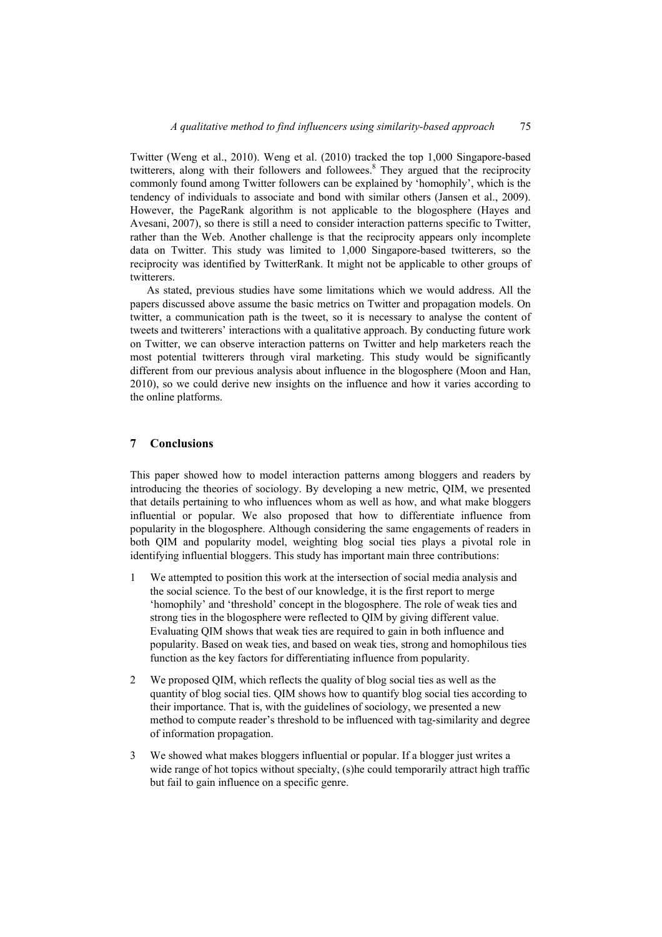Twitter (Weng et al., 2010). Weng et al. (2010) tracked the top 1,000 Singapore-based twitterers, along with their followers and followees.<sup>8</sup> They argued that the reciprocity commonly found among Twitter followers can be explained by 'homophily', which is the tendency of individuals to associate and bond with similar others (Jansen et al., 2009). However, the PageRank algorithm is not applicable to the blogosphere (Hayes and Avesani, 2007), so there is still a need to consider interaction patterns specific to Twitter, rather than the Web. Another challenge is that the reciprocity appears only incomplete data on Twitter. This study was limited to 1,000 Singapore-based twitterers, so the reciprocity was identified by TwitterRank. It might not be applicable to other groups of twitterers.

As stated, previous studies have some limitations which we would address. All the papers discussed above assume the basic metrics on Twitter and propagation models. On twitter, a communication path is the tweet, so it is necessary to analyse the content of tweets and twitterers' interactions with a qualitative approach. By conducting future work on Twitter, we can observe interaction patterns on Twitter and help marketers reach the most potential twitterers through viral marketing. This study would be significantly different from our previous analysis about influence in the blogosphere (Moon and Han, 2010), so we could derive new insights on the influence and how it varies according to the online platforms.

### **7 Conclusions**

This paper showed how to model interaction patterns among bloggers and readers by introducing the theories of sociology. By developing a new metric, QIM, we presented that details pertaining to who influences whom as well as how, and what make bloggers influential or popular. We also proposed that how to differentiate influence from popularity in the blogosphere. Although considering the same engagements of readers in both QIM and popularity model, weighting blog social ties plays a pivotal role in identifying influential bloggers. This study has important main three contributions:

- 1 We attempted to position this work at the intersection of social media analysis and the social science. To the best of our knowledge, it is the first report to merge 'homophily' and 'threshold' concept in the blogosphere. The role of weak ties and strong ties in the blogosphere were reflected to QIM by giving different value. Evaluating QIM shows that weak ties are required to gain in both influence and popularity. Based on weak ties, and based on weak ties, strong and homophilous ties function as the key factors for differentiating influence from popularity.
- 2 We proposed QIM, which reflects the quality of blog social ties as well as the quantity of blog social ties. QIM shows how to quantify blog social ties according to their importance. That is, with the guidelines of sociology, we presented a new method to compute reader's threshold to be influenced with tag-similarity and degree of information propagation.
- 3 We showed what makes bloggers influential or popular. If a blogger just writes a wide range of hot topics without specialty, (s)he could temporarily attract high traffic but fail to gain influence on a specific genre.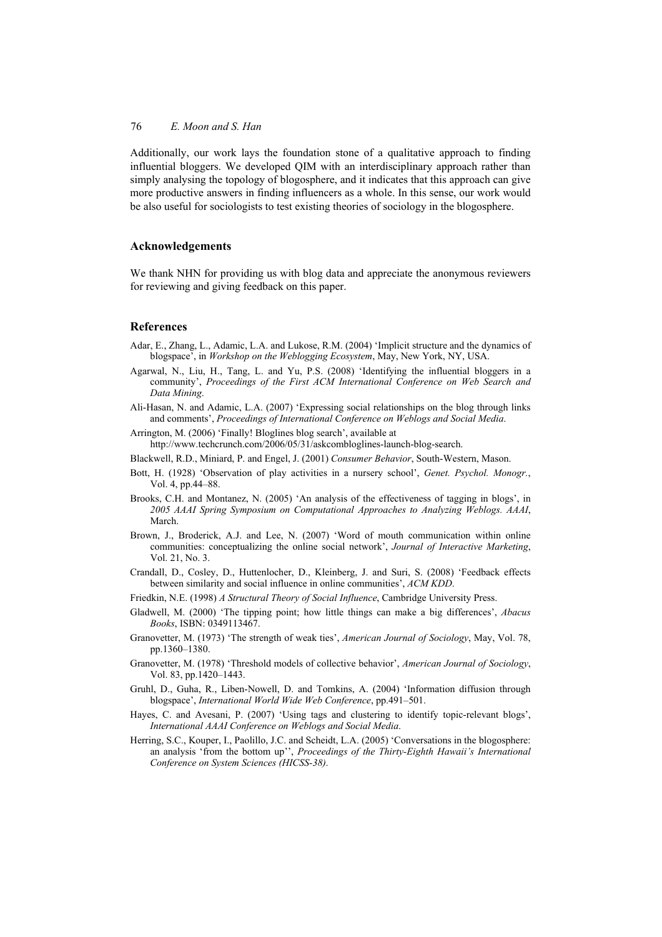Additionally, our work lays the foundation stone of a qualitative approach to finding influential bloggers. We developed QIM with an interdisciplinary approach rather than simply analysing the topology of blogosphere, and it indicates that this approach can give more productive answers in finding influencers as a whole. In this sense, our work would be also useful for sociologists to test existing theories of sociology in the blogosphere.

#### **Acknowledgements**

We thank NHN for providing us with blog data and appreciate the anonymous reviewers for reviewing and giving feedback on this paper.

#### **References**

- Adar, E., Zhang, L., Adamic, L.A. and Lukose, R.M. (2004) 'Implicit structure and the dynamics of blogspace', in *Workshop on the Weblogging Ecosystem*, May, New York, NY, USA.
- Agarwal, N., Liu, H., Tang, L. and Yu, P.S. (2008) 'Identifying the influential bloggers in a community', *Proceedings of the First ACM International Conference on Web Search and Data Mining*.
- Ali-Hasan, N. and Adamic, L.A. (2007) 'Expressing social relationships on the blog through links and comments', *Proceedings of International Conference on Weblogs and Social Media*.
- Arrington, M. (2006) 'Finally! Bloglines blog search', available at http://www.techcrunch.com/2006/05/31/askcombloglines-launch-blog-search.
- Blackwell, R.D., Miniard, P. and Engel, J. (2001) *Consumer Behavior*, South-Western, Mason.
- Bott, H. (1928) 'Observation of play activities in a nursery school', *Genet. Psychol. Monogr.*, Vol. 4, pp.44–88.
- Brooks, C.H. and Montanez, N. (2005) 'An analysis of the effectiveness of tagging in blogs', in *2005 AAAI Spring Symposium on Computational Approaches to Analyzing Weblogs. AAAI*, March.
- Brown, J., Broderick, A.J. and Lee, N. (2007) 'Word of mouth communication within online communities: conceptualizing the online social network', *Journal of Interactive Marketing*, Vol. 21, No. 3.
- Crandall, D., Cosley, D., Huttenlocher, D., Kleinberg, J. and Suri, S. (2008) 'Feedback effects between similarity and social influence in online communities', *ACM KDD*.
- Friedkin, N.E. (1998) *A Structural Theory of Social Influence*, Cambridge University Press.
- Gladwell, M. (2000) 'The tipping point; how little things can make a big differences', *Abacus Books*, ISBN: 0349113467.
- Granovetter, M. (1973) 'The strength of weak ties', *American Journal of Sociology*, May, Vol. 78, pp.1360–1380.
- Granovetter, M. (1978) 'Threshold models of collective behavior', *American Journal of Sociology*, Vol. 83, pp.1420–1443.
- Gruhl, D., Guha, R., Liben-Nowell, D. and Tomkins, A. (2004) 'Information diffusion through blogspace', *International World Wide Web Conference*, pp.491–501.
- Hayes, C. and Avesani, P. (2007) 'Using tags and clustering to identify topic-relevant blogs', *International AAAI Conference on Weblogs and Social Media*.
- Herring, S.C., Kouper, I., Paolillo, J.C. and Scheidt, L.A. (2005) 'Conversations in the blogosphere: an analysis 'from the bottom up'', *Proceedings of the Thirty-Eighth Hawaii's International Conference on System Sciences (HICSS-38)*.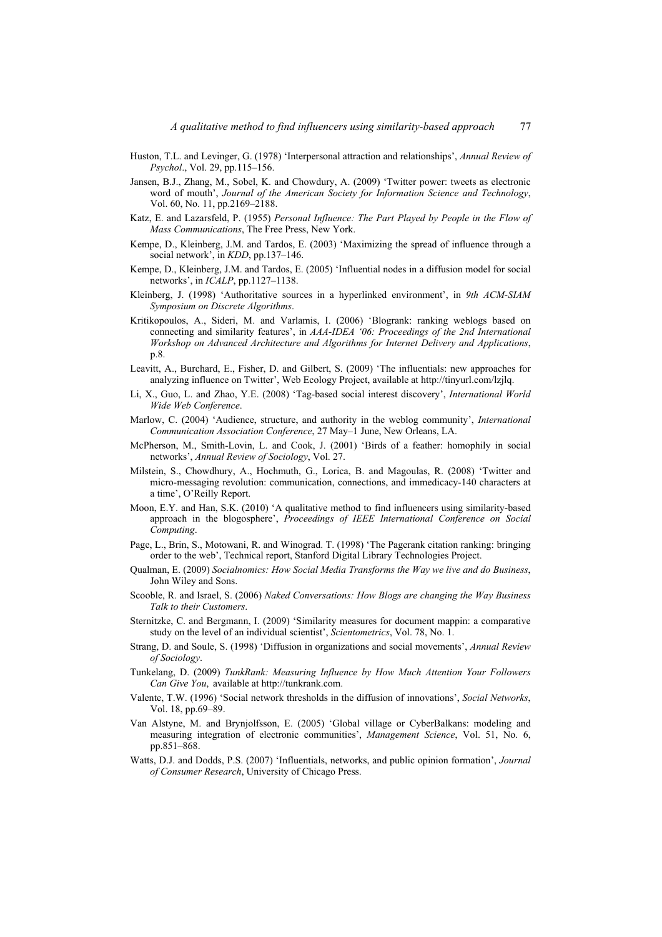- Huston, T.L. and Levinger, G. (1978) 'Interpersonal attraction and relationships', *Annual Review of Psychol*., Vol. 29, pp.115–156.
- Jansen, B.J., Zhang, M., Sobel, K. and Chowdury, A. (2009) 'Twitter power: tweets as electronic word of mouth', *Journal of the American Society for Information Science and Technology*, Vol. 60, No. 11, pp.2169–2188.
- Katz, E. and Lazarsfeld, P. (1955) *Personal Influence: The Part Played by People in the Flow of Mass Communications*, The Free Press, New York.
- Kempe, D., Kleinberg, J.M. and Tardos, E. (2003) 'Maximizing the spread of influence through a social network', in *KDD*, pp.137–146.
- Kempe, D., Kleinberg, J.M. and Tardos, E. (2005) 'Influential nodes in a diffusion model for social networks', in *ICALP*, pp.1127–1138.
- Kleinberg, J. (1998) 'Authoritative sources in a hyperlinked environment', in *9th ACM-SIAM Symposium on Discrete Algorithms*.
- Kritikopoulos, A., Sideri, M. and Varlamis, I. (2006) 'Blogrank: ranking weblogs based on connecting and similarity features', in *AAA-IDEA '06: Proceedings of the 2nd International Workshop on Advanced Architecture and Algorithms for Internet Delivery and Applications*, p.8.
- Leavitt, A., Burchard, E., Fisher, D. and Gilbert, S. (2009) 'The influentials: new approaches for analyzing influence on Twitter', Web Ecology Project, available at http://tinyurl.com/lzjlq.
- Li, X., Guo, L. and Zhao, Y.E. (2008) 'Tag-based social interest discovery', *International World Wide Web Conference*.
- Marlow, C. (2004) 'Audience, structure, and authority in the weblog community', *International Communication Association Conference*, 27 May–1 June, New Orleans, LA.
- McPherson, M., Smith-Lovin, L. and Cook, J. (2001) 'Birds of a feather: homophily in social networks', *Annual Review of Sociology*, Vol. 27.
- Milstein, S., Chowdhury, A., Hochmuth, G., Lorica, B. and Magoulas, R. (2008) 'Twitter and micro-messaging revolution: communication, connections, and immedicacy-140 characters at a time', O'Reilly Report.
- Moon, E.Y. and Han, S.K. (2010) 'A qualitative method to find influencers using similarity-based approach in the blogosphere', *Proceedings of IEEE International Conference on Social Computing*.
- Page, L., Brin, S., Motowani, R. and Winograd. T. (1998) 'The Pagerank citation ranking: bringing order to the web', Technical report, Stanford Digital Library Technologies Project.
- Qualman, E. (2009) *Socialnomics: How Social Media Transforms the Way we live and do Business*, John Wiley and Sons.
- Scooble, R. and Israel, S. (2006) *Naked Conversations: How Blogs are changing the Way Business Talk to their Customers*.
- Sternitzke, C. and Bergmann, I. (2009) 'Similarity measures for document mappin: a comparative study on the level of an individual scientist', *Scientometrics*, Vol. 78, No. 1.
- Strang, D. and Soule, S. (1998) 'Diffusion in organizations and social movements', *Annual Review of Sociology*.
- Tunkelang, D. (2009) *TunkRank: Measuring Influence by How Much Attention Your Followers Can Give You*, available at http://tunkrank.com.
- Valente, T.W. (1996) 'Social network thresholds in the diffusion of innovations', *Social Networks*, Vol. 18, pp.69–89.
- Van Alstyne, M. and Brynjolfsson, E. (2005) 'Global village or CyberBalkans: modeling and measuring integration of electronic communities', *Management Science*, Vol. 51, No. 6, pp.851–868.
- Watts, D.J. and Dodds, P.S. (2007) 'Influentials, networks, and public opinion formation', *Journal of Consumer Research*, University of Chicago Press.